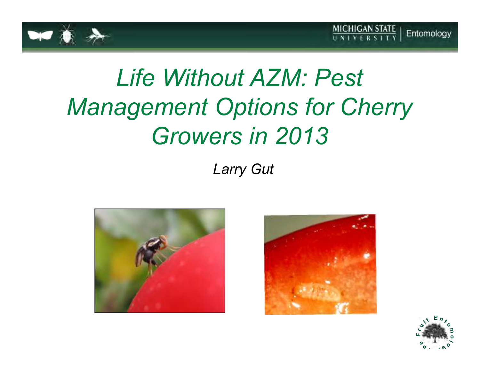

# *Life Without AZM: Pest Management Options for Cherry Growers in 2013*

### *Larry Gut*





![](_page_0_Picture_6.jpeg)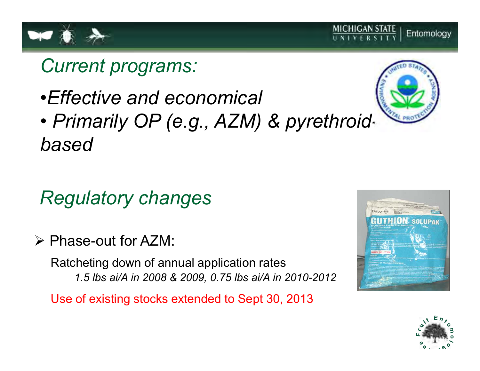![](_page_1_Picture_0.jpeg)

# *Current programs:*

•*Effective and economical*

![](_page_1_Picture_3.jpeg)

# *Regulatory changes*

Phase-out for AZM:

Ratcheting down of annual application rates*1.5 lbs ai/A in 2008 & 2009, 0.75 lbs ai/A in 2010-2012*

Use of existing stocks extended to Sept 30, 2013

![](_page_1_Picture_8.jpeg)

![](_page_1_Picture_9.jpeg)

![](_page_1_Picture_10.jpeg)

#### **MICHIGAN STATE** Entomology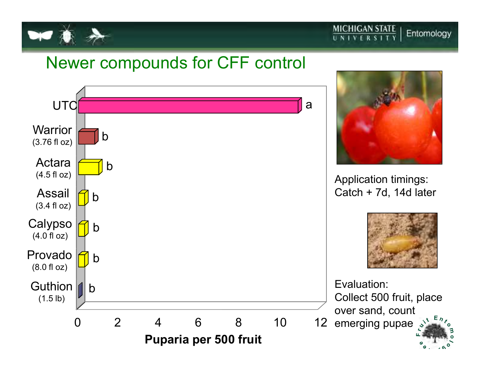![](_page_2_Picture_0.jpeg)

### Newer compounds for CFF control

![](_page_2_Figure_3.jpeg)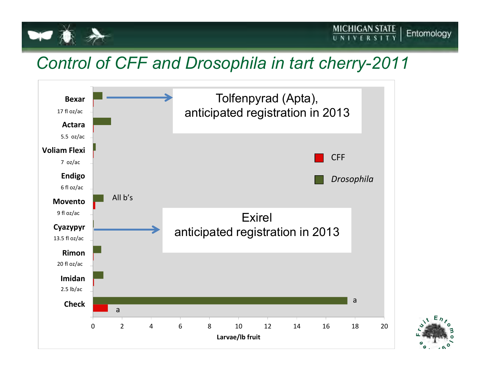![](_page_3_Picture_0.jpeg)

## *Control of CFF and Drosophila in tart cherry-2011*

![](_page_3_Figure_3.jpeg)

![](_page_3_Picture_4.jpeg)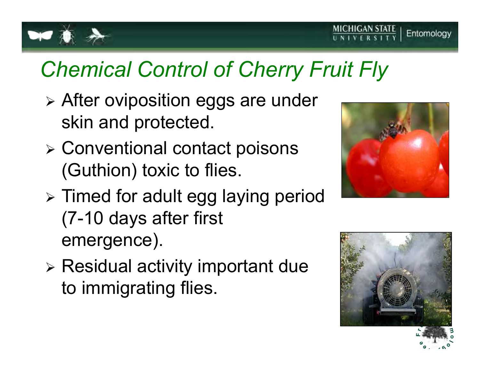![](_page_4_Picture_0.jpeg)

# *Chemical Control of Cherry Fruit Fly*

- > After oviposition eggs are under skin and protected.
- > Conventional contact poisons (Guthion) toxic to flies.

![](_page_4_Picture_4.jpeg)

- > Timed for adult egg laying period (7-10 days after first emergence).
- > Residual activity important due to immigrating flies.

![](_page_4_Picture_7.jpeg)

![](_page_4_Picture_8.jpeg)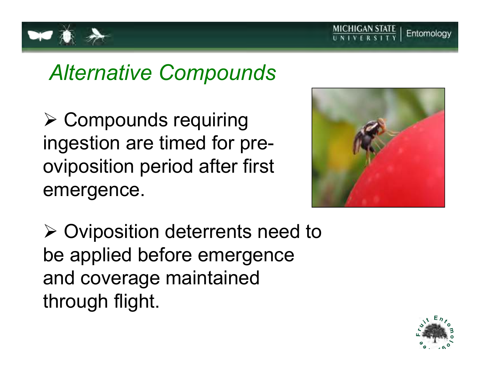![](_page_5_Picture_0.jpeg)

![](_page_5_Picture_1.jpeg)

 $\triangleright$  Compounds requiring ingestion are timed for preoviposition period after first emergence.

![](_page_5_Picture_3.jpeg)

> Oviposition deterrents need to be applied before emergence and coverage maintained through flight.

![](_page_5_Picture_5.jpeg)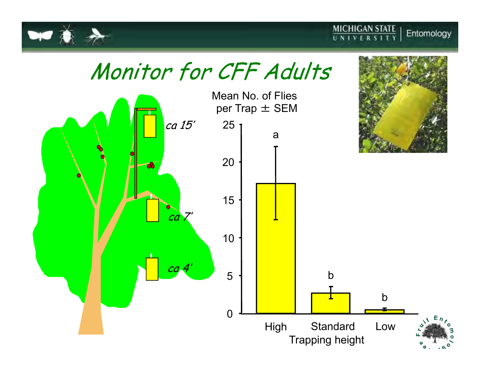![](_page_6_Picture_0.jpeg)

![](_page_6_Picture_1.jpeg)

 $\frac{\text{MICHIGAN STATE}}{\text{UNIVERSITY}}$ 

![](_page_6_Figure_2.jpeg)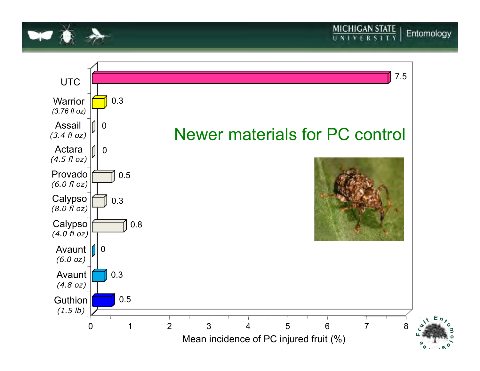![](_page_7_Picture_0.jpeg)

![](_page_7_Figure_1.jpeg)

**MICHIGAN STATE**<br>UNIVERSITY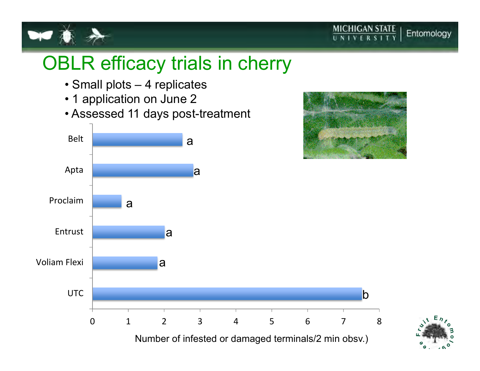![](_page_8_Picture_0.jpeg)

![](_page_8_Picture_1.jpeg)

# OBLR efficacy trials in cherry

- Small plots 4 replicates
- 1 application on June 2
- $\bullet$  Assessed 11 days post-treatment

![](_page_8_Figure_6.jpeg)

![](_page_8_Picture_7.jpeg)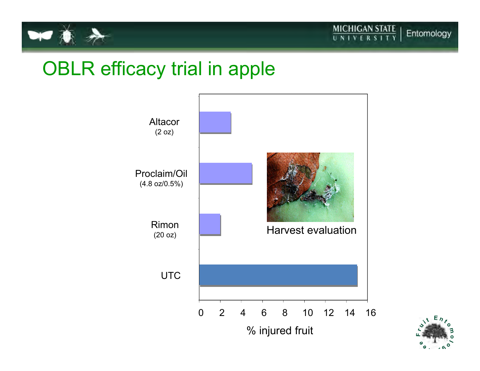![](_page_9_Picture_0.jpeg)

# OBLR efficacy trial in apple

![](_page_9_Figure_3.jpeg)

![](_page_9_Picture_4.jpeg)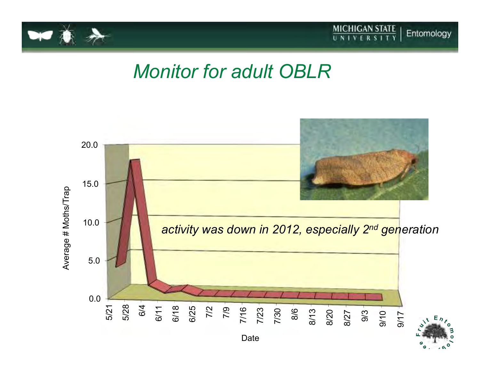![](_page_10_Picture_0.jpeg)

![](_page_10_Picture_1.jpeg)

# *Monitor for adult OBLR*

![](_page_10_Figure_3.jpeg)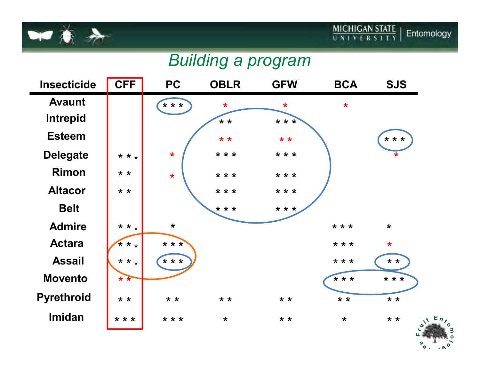![](_page_11_Picture_0.jpeg)

![](_page_11_Picture_1.jpeg)

### *Building a program*

![](_page_11_Figure_3.jpeg)

![](_page_11_Picture_4.jpeg)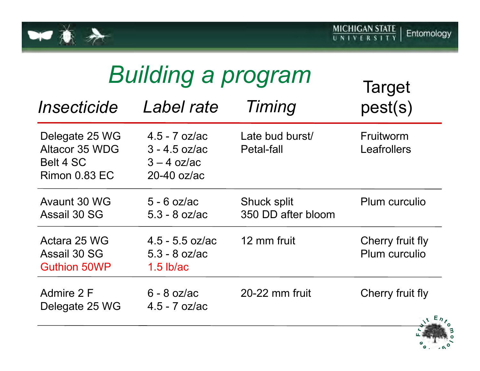![](_page_12_Picture_0.jpeg)

| <b>Building a program</b>                                             |                                                                      |                                   | <b>Target</b>                     |
|-----------------------------------------------------------------------|----------------------------------------------------------------------|-----------------------------------|-----------------------------------|
| Insecticide                                                           | Label rate                                                           | Timing                            | pest(s)                           |
| Delegate 25 WG<br>Altacor 35 WDG<br>Belt 4 SC<br><b>Rimon 0.83 EC</b> | $4.5 - 7$ oz/ac<br>$3 - 4.5$ oz/ac<br>$3 - 4$ oz/ac<br>$20-40$ oz/ac | Late bud burst/<br>Petal-fall     | Fruitworm<br>Leafrollers          |
| Avaunt 30 WG<br>Assail 30 SG                                          | $5 - 6$ oz/ac<br>$5.3 - 8$ oz/ac                                     | Shuck split<br>350 DD after bloom | Plum curculio                     |
| Actara 25 WG<br>Assail 30 SG<br><b>Guthion 50WP</b>                   | $4.5 - 5.5$ oz/ac<br>$5.3 - 8$ oz/ac<br>$1.5$ lb/ac                  | 12 mm fruit                       | Cherry fruit fly<br>Plum curculio |
| Admire 2 F<br>Delegate 25 WG                                          | $6 - 8$ oz/ac<br>$4.5 - 7$ oz/ac                                     | 20-22 mm fruit                    | Cherry fruit fly<br>$\sqrt{E_h}$  |

![](_page_12_Picture_3.jpeg)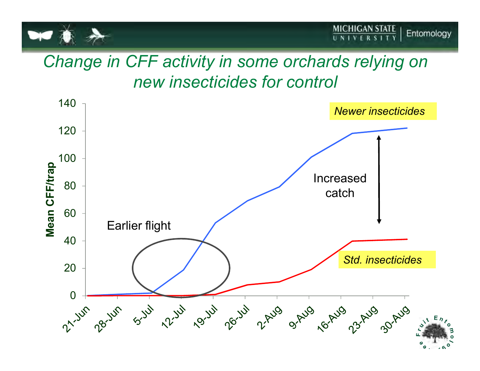![](_page_13_Picture_0.jpeg)

# *Change in CFF activity in some orchards relying on new insecticides for control*

![](_page_13_Figure_3.jpeg)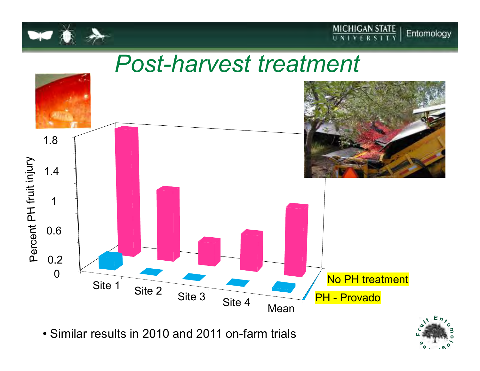![](_page_14_Picture_0.jpeg)

![](_page_14_Picture_1.jpeg)

# *Post-harvest treatment*

![](_page_14_Figure_3.jpeg)

• Similar results in 2010 and 2011 on-farm trials

![](_page_14_Picture_5.jpeg)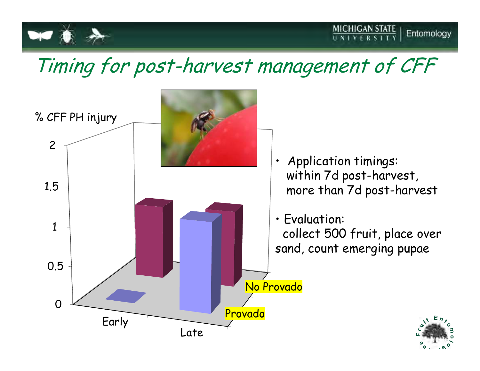![](_page_15_Picture_0.jpeg)

**MICHIGAN STATE**<br>UNIVERSITY

![](_page_15_Figure_2.jpeg)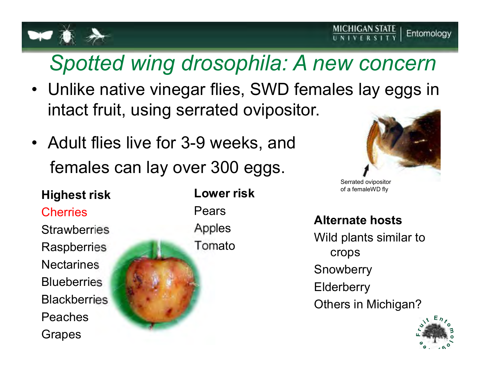# *Spotted wing drosophila: A new concern*

- Unlike native vinegar flies, SWD females lay eggs in<br>intent fault uning corrected evinesites intact fruit, using serrated ovipositor.
- Adult flies live for 3-9 weeks, and females can lay over 300 eggs.

### **Highest riskCherries Strawberries Raspberries Nectarines Blueberries Blackberries** PeachesGrapes

**Lower risk**PearsApplesTomato

![](_page_16_Picture_7.jpeg)

Serrated ovipositor of a femaleWD fly

#### **Alternate hosts**

Wild plants similar to crops**Snowberry Elderberry** Others in Michigan?

![](_page_16_Picture_11.jpeg)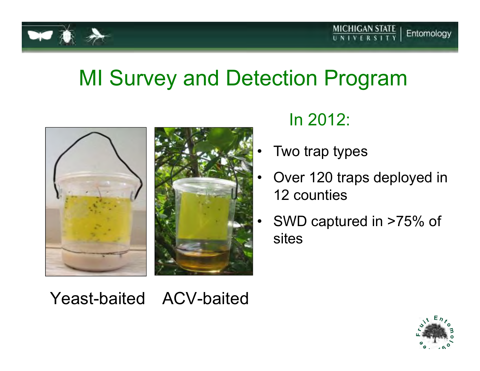![](_page_17_Picture_0.jpeg)

# MI Survey and Detection Program

![](_page_17_Picture_3.jpeg)

# In 2012:

- Two trap types
- Over 120 traps deployed in 12 counties
- • SWD captured in >75% of sites

Yeast-baited ACV-baited

![](_page_17_Picture_9.jpeg)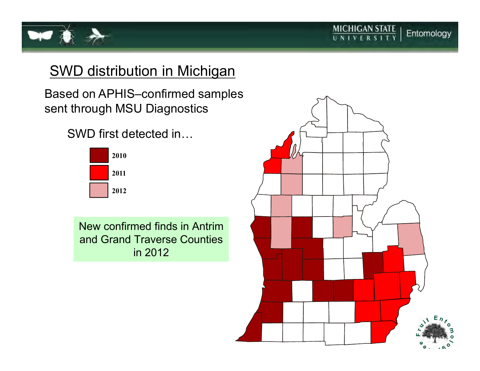![](_page_18_Picture_0.jpeg)

### SWD distribution in Michigan

Based on APHIS–confirmed samples sent through MSU Diagnostics

SWD first detected in...

![](_page_18_Figure_4.jpeg)

New confirmed finds in Antrim and Grand Traverse Counties in 2012

![](_page_18_Figure_6.jpeg)

 $\frac{MICHIGAN STATE}{U N IV E R S IT Y}$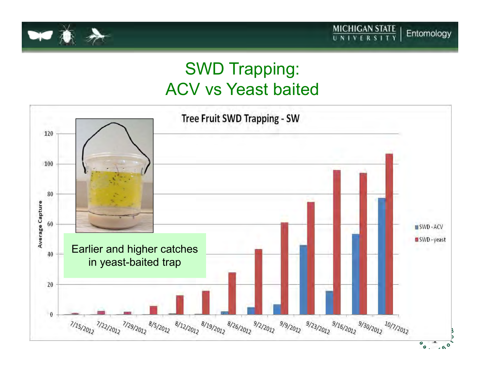![](_page_19_Picture_0.jpeg)

# SWD Trapping:ACV vs Yeast baited

![](_page_19_Figure_3.jpeg)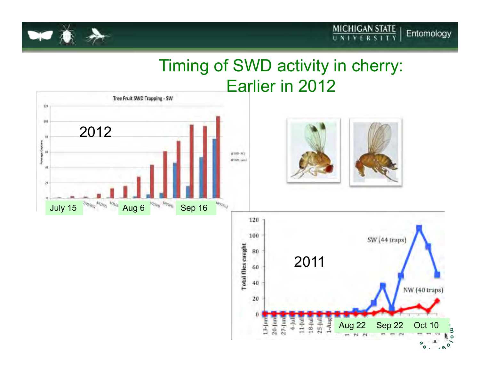![](_page_20_Picture_0.jpeg)

# Timing of SWD activity in cherry: Earlier in 2012

2011

Aug 22

1-Aug

Ň

Sep 22

 $\overline{\phantom{a}}$  $\overline{\phantom{a}}$ 

 $\sim$ 

Oct 10

 $\pmb{\circ}$ 

**B** o

 $60, 60$ 

÷, <u>်ဝ</u>

NW (40 traps)

![](_page_20_Figure_3.jpeg)

60

 $40$ 

20

 $13 \mu$  $20-1$ un 27-Jun  $4-$ [u]  $11 - 10$ 18Hul  $25 - |$ ul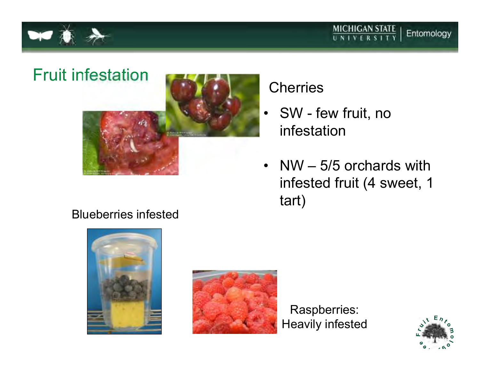![](_page_21_Picture_0.jpeg)

![](_page_21_Picture_1.jpeg)

![](_page_21_Picture_2.jpeg)

#### Blueberries infested

![](_page_21_Picture_4.jpeg)

![](_page_21_Picture_5.jpeg)

Raspberries:Heavily infested

![](_page_21_Picture_7.jpeg)

### **Cherries**

- SW few fruit, no<br>infortation infestation
- NW  $-$  5/5 orchards with  $\frac{1}{2}$ infested fruit (4 sweet, 1 tart)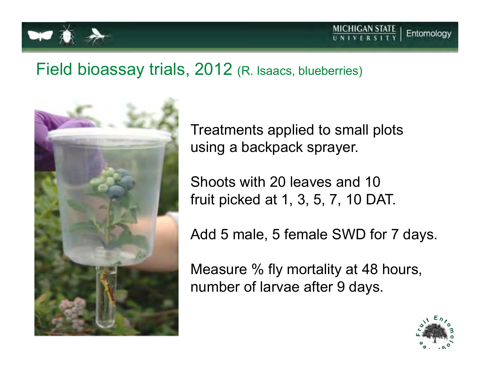![](_page_22_Picture_0.jpeg)

### Field bioassay trials, 2012 (R. Isaacs, blueberries)

![](_page_22_Picture_3.jpeg)

Treatments applied to small plots using a backpack sprayer.

Shoots with 20 leaves and 10 fruit picked at 1, 3, 5, 7, 10 DAT.

Add 5 male, 5 female SWD for 7 days.

Measure % fly mortality at 48 hours, number of larvae after 9 days.

![](_page_22_Picture_8.jpeg)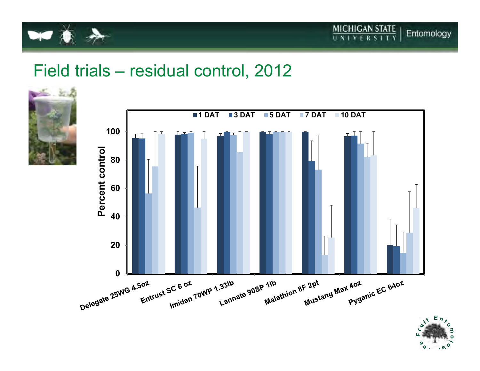![](_page_23_Picture_0.jpeg)

![](_page_23_Picture_1.jpeg)

# Field trials – residual control, 2012

![](_page_23_Picture_3.jpeg)

![](_page_23_Figure_4.jpeg)

![](_page_23_Picture_5.jpeg)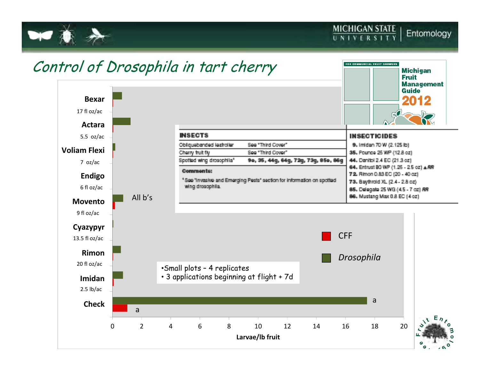![](_page_24_Picture_0.jpeg)

![](_page_24_Figure_2.jpeg)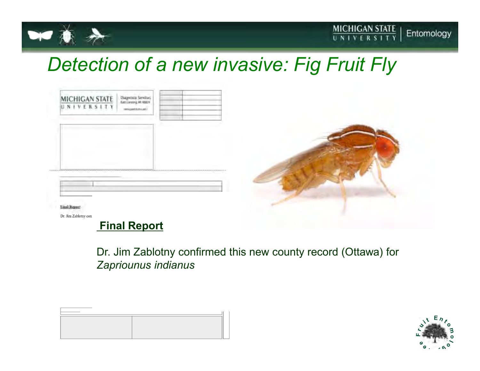![](_page_25_Picture_0.jpeg)

# *Detection of a new invasive: Fig Fruit Fly*

| NIVERSITY | Diagnosis Services<br>Kentavorg M-RBDI<br>menization and |  |  |
|-----------|----------------------------------------------------------|--|--|
|           |                                                          |  |  |
|           |                                                          |  |  |
|           |                                                          |  |  |

#### Dr. Jim Zablotny confirmed this new county record (Ottawa) for *Zapriounus indianus*

![](_page_25_Picture_6.jpeg)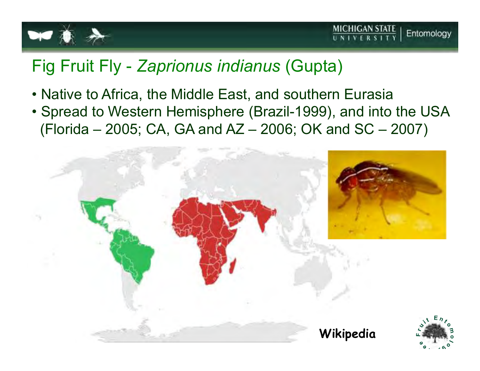![](_page_26_Picture_0.jpeg)

# Fig Fruit Fly - *Zaprionus indianus* (Gupta)

- Native to Africa, the Middle East, and southern Eurasia<br>• Careed to Western Hamisphere (Brazil 4000), and into
- Spread to Western Hemisphere (Brazil-1999), and into the USA(Florida – 2005; CA, GA and AZ – 2006; OK and SC – 2007)

![](_page_26_Figure_5.jpeg)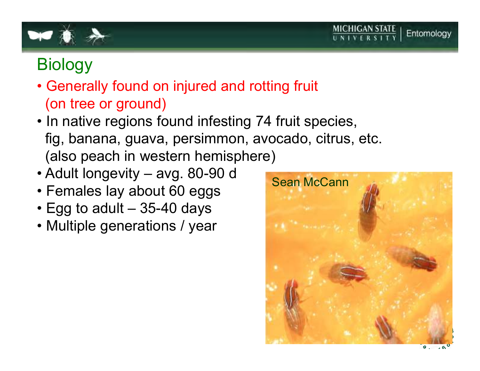![](_page_27_Picture_0.jpeg)

# **Biology**

- Generally found on injured and rotting fruit (on tree or ground)
- In native regions found infesting 74 fruit species, fig, banana, guava, persimmon, avocado, citrus, etc.(also peach in western hemisphere)
- Adult longevity avg. 80-90 d
- Females lay about 60 eggs<br>• Fas te edult 35,40 dave
- Egg to adult 35-40 days
- Multiple generations / year

![](_page_27_Picture_8.jpeg)

**MICHIGAN STATE**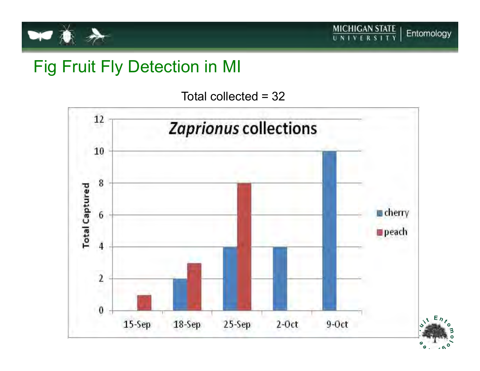![](_page_28_Picture_0.jpeg)

## Fig Fruit Fly Detection in MI

Total collected = 32

![](_page_28_Figure_4.jpeg)